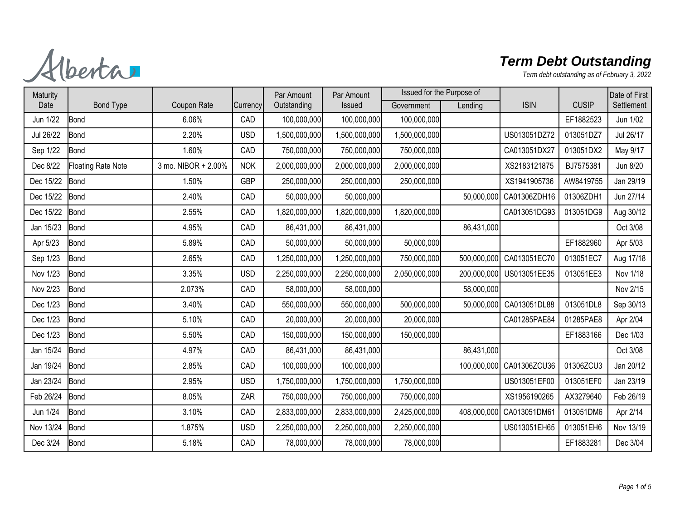Alberta

| Maturity  |                           |                     |            | Par Amount    | Par Amount    | Issued for the Purpose of |             |              |              | Date of First |
|-----------|---------------------------|---------------------|------------|---------------|---------------|---------------------------|-------------|--------------|--------------|---------------|
| Date      | <b>Bond Type</b>          | Coupon Rate         | Currency   | Outstanding   | Issued        | Government                | Lending     | <b>ISIN</b>  | <b>CUSIP</b> | Settlement    |
| Jun 1/22  | <b>Bond</b>               | 6.06%               | CAD        | 100,000,000   | 100,000,000   | 100,000,000               |             |              | EF1882523    | Jun 1/02      |
| Jul 26/22 | <b>Bond</b>               | 2.20%               | <b>USD</b> | 1,500,000,000 | 1,500,000,000 | 1,500,000,000             |             | US013051DZ72 | 013051DZ7    | Jul 26/17     |
| Sep 1/22  | <b>Bond</b>               | 1.60%               | CAD        | 750,000,000   | 750,000,000   | 750,000,000               |             | CA013051DX27 | 013051DX2    | May 9/17      |
| Dec 8/22  | <b>Floating Rate Note</b> | 3 mo. NIBOR + 2.00% | <b>NOK</b> | 2,000,000,000 | 2,000,000,000 | 2,000,000,000             |             | XS2183121875 | BJ7575381    | Jun 8/20      |
| Dec 15/22 | <b>Bond</b>               | 1.50%               | <b>GBP</b> | 250,000,000   | 250,000,000   | 250,000,000               |             | XS1941905736 | AW8419755    | Jan 29/19     |
| Dec 15/22 | <b>Bond</b>               | 2.40%               | CAD        | 50,000,000    | 50,000,000    |                           | 50,000,000  | CA01306ZDH16 | 01306ZDH1    | Jun 27/14     |
| Dec 15/22 | Bond                      | 2.55%               | CAD        | 1,820,000,000 | 1,820,000,000 | 1,820,000,000             |             | CA013051DG93 | 013051DG9    | Aug 30/12     |
| Jan 15/23 | <b>Bond</b>               | 4.95%               | CAD        | 86,431,000    | 86,431,000    |                           | 86,431,000  |              |              | Oct 3/08      |
| Apr 5/23  | <b>Bond</b>               | 5.89%               | CAD        | 50,000,000    | 50,000,000    | 50,000,000                |             |              | EF1882960    | Apr 5/03      |
| Sep 1/23  | <b>Bond</b>               | 2.65%               | CAD        | 1,250,000,000 | 1,250,000,000 | 750,000,000               | 500,000,000 | CA013051EC70 | 013051EC7    | Aug 17/18     |
| Nov 1/23  | <b>Bond</b>               | 3.35%               | <b>USD</b> | 2,250,000,000 | 2,250,000,000 | 2,050,000,000             | 200,000,000 | US013051EE35 | 013051EE3    | Nov 1/18      |
| Nov 2/23  | Bond                      | 2.073%              | CAD        | 58,000,000    | 58,000,000    |                           | 58,000,000  |              |              | Nov 2/15      |
| Dec 1/23  | <b>Bond</b>               | 3.40%               | CAD        | 550,000,000   | 550,000,000   | 500,000,000               | 50,000,000  | CA013051DL88 | 013051DL8    | Sep 30/13     |
| Dec 1/23  | <b>Bond</b>               | 5.10%               | CAD        | 20,000,000    | 20,000,000    | 20,000,000                |             | CA01285PAE84 | 01285PAE8    | Apr 2/04      |
| Dec 1/23  | <b>Bond</b>               | 5.50%               | CAD        | 150,000,000   | 150,000,000   | 150,000,000               |             |              | EF1883166    | Dec 1/03      |
| Jan 15/24 | <b>Bond</b>               | 4.97%               | CAD        | 86,431,000    | 86,431,000    |                           | 86,431,000  |              |              | Oct 3/08      |
| Jan 19/24 | <b>Bond</b>               | 2.85%               | CAD        | 100,000,000   | 100,000,000   |                           | 100,000,000 | CA01306ZCU36 | 01306ZCU3    | Jan 20/12     |
| Jan 23/24 | <b>Bond</b>               | 2.95%               | <b>USD</b> | 1,750,000,000 | 1,750,000,000 | 1,750,000,000             |             | US013051EF00 | 013051EF0    | Jan 23/19     |
| Feb 26/24 | <b>Bond</b>               | 8.05%               | ZAR        | 750,000,000   | 750,000,000   | 750,000,000               |             | XS1956190265 | AX3279640    | Feb 26/19     |
| Jun 1/24  | <b>Bond</b>               | 3.10%               | CAD        | 2,833,000,000 | 2,833,000,000 | 2,425,000,000             | 408,000,000 | CA013051DM6  | 013051DM6    | Apr 2/14      |
| Nov 13/24 | <b>Bond</b>               | 1.875%              | <b>USD</b> | 2,250,000,000 | 2,250,000,000 | 2,250,000,000             |             | US013051EH65 | 013051EH6    | Nov 13/19     |
| Dec 3/24  | <b>Bond</b>               | 5.18%               | CAD        | 78,000,000    | 78,000,000    | 78,000,000                |             |              | EF1883281    | Dec 3/04      |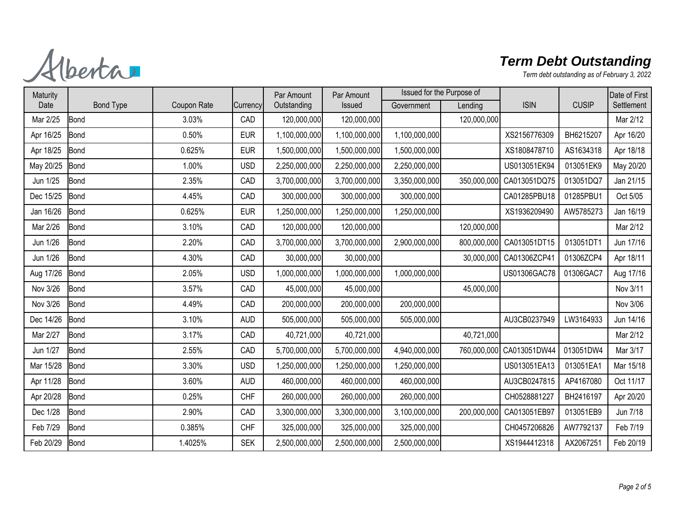Alberta

| <b>CUSIP</b><br>Settlement<br>Date<br><b>Bond Type</b><br>Coupon Rate<br>Outstanding<br>Government<br><b>ISIN</b><br>Issued<br>Lending<br>Currency<br>120,000,000<br>Mar 2/12<br>Mar 2/25<br>3.03%<br>CAD<br>120,000,000<br>120,000,000<br><b>Bond</b><br><b>Bond</b><br>0.50%<br><b>EUR</b><br>1,100,000,000<br>1,100,000,000<br>BH6215207<br>Apr 16/20<br>Apr 16/25<br>1,100,000,000<br>XS2156776309<br>1,500,000,000<br>1,500,000,000<br>AS1634318<br>Apr 18/18<br>Apr 18/25<br><b>Bond</b><br>0.625%<br><b>EUR</b><br>1,500,000,000<br>XS1808478710<br>May 20/25<br>2,250,000,000<br>2,250,000,000<br>013051EK9<br>May 20/20<br>1.00%<br><b>USD</b><br>2,250,000,000<br>US013051EK94<br><b>Bond</b><br>013051DQ7<br>Jan 21/15<br>Jun 1/25<br><b>Bond</b><br>2.35%<br>CAD<br>3,700,000,000<br>3,700,000,000<br>3,350,000,000<br>350,000,000<br>CA013051DQ75<br>Dec 15/25<br>300,000,000<br>300,000,000<br>CA01285PBU18<br>01285PBU1<br>Oct 5/05<br><b>Bond</b><br>4.45%<br>CAD<br>300,000,000<br>Jan 16/26<br>0.625%<br><b>EUR</b><br>,250,000,000<br>1,250,000,000<br>1,250,000,000<br>XS1936209490<br>AW5785273<br>Jan 16/19<br><b>Bond</b><br>120,000,000<br>Mar 2/26<br><b>Bond</b><br>3.10%<br>CAD<br>120,000,000<br>120,000,000<br>Mar 2/12<br>Jun 1/26<br>3,700,000,000<br>Jun 17/16<br><b>Bond</b><br>2.20%<br>CAD<br>3,700,000,000<br>2,900,000,000<br>800,000,000 CA013051DT15<br>013051DT1<br>Jun 1/26<br>30,000,000<br>30,000,000<br>CA01306ZCP41<br>01306ZCP4<br><b>Bond</b><br>4.30%<br>CAD<br>30,000,000<br>Apr 18/11<br>Aug 17/26<br><b>Bond</b><br>2.05%<br><b>USD</b><br>1,000,000,000<br>1,000,000,000<br>1,000,000,000<br>US01306GAC78<br>01306GAC7<br>Aug 17/16<br>Nov 3/11<br>Nov 3/26<br><b>Bond</b><br>3.57%<br>CAD<br>45,000,000<br>45,000,000<br>45,000,000<br>Nov 3/06<br>Nov 3/26<br>4.49%<br>CAD<br>200,000,000<br>200,000,000<br>200,000,000<br><b>Bond</b><br>Dec 14/26<br>3.10%<br>505,000,000<br>Jun 14/16<br><b>Bond</b><br><b>AUD</b><br>505,000,000<br>505,000,000<br>AU3CB0237949<br>LW3164933<br>Mar 2/27<br>40,721,000<br>Mar 2/12<br>Bond<br>3.17%<br>CAD<br>40,721,000<br>40,721,000<br>Jun 1/27<br>Bond<br>2.55%<br>CAD<br>5,700,000,000<br>5,700,000,000<br>4,940,000,000<br>760,000,000 CA013051DW44<br>013051DW4<br>Mar 3/17<br>Mar 15/28<br>1,250,000,000<br>US013051EA13<br>013051EA1<br>Mar 15/18<br><b>Bond</b><br>3.30%<br><b>USD</b><br>1,250,000,000<br>1,250,000,000<br>Apr 11/28<br>3.60%<br>460,000,000<br>AU3CB0247815<br>AP4167080<br>Oct 11/17<br><b>Bond</b><br><b>AUD</b><br>460,000,000<br>460,000,000<br>CH0528881227<br>BH2416197<br>Apr 20/20<br>Apr 20/28<br><b>Bond</b><br>0.25%<br><b>CHF</b><br>260,000,000<br>260,000,000<br>260,000,000<br>CA013051EB97<br>013051EB9<br>Dec 1/28<br><b>Bond</b><br>2.90%<br>CAD<br>3,300,000,000<br>3,300,000,000<br>3,100,000,000<br>Jun 7/18<br>200,000,000<br>Feb 7/29<br>325,000,000<br>CH0457206826<br>AW7792137<br>Feb 7/19<br><b>Bond</b><br>0.385%<br><b>CHF</b><br>325,000,000<br>325,000,000<br>Feb 20/29<br>2,500,000,000<br>XS1944412318<br>AX2067251<br>Feb 20/19<br>Bond<br>1.4025%<br><b>SEK</b><br>2,500,000,000<br>2,500,000,000 | Maturity |  | Par Amount | Par Amount | Issued for the Purpose of |  | Date of First |
|------------------------------------------------------------------------------------------------------------------------------------------------------------------------------------------------------------------------------------------------------------------------------------------------------------------------------------------------------------------------------------------------------------------------------------------------------------------------------------------------------------------------------------------------------------------------------------------------------------------------------------------------------------------------------------------------------------------------------------------------------------------------------------------------------------------------------------------------------------------------------------------------------------------------------------------------------------------------------------------------------------------------------------------------------------------------------------------------------------------------------------------------------------------------------------------------------------------------------------------------------------------------------------------------------------------------------------------------------------------------------------------------------------------------------------------------------------------------------------------------------------------------------------------------------------------------------------------------------------------------------------------------------------------------------------------------------------------------------------------------------------------------------------------------------------------------------------------------------------------------------------------------------------------------------------------------------------------------------------------------------------------------------------------------------------------------------------------------------------------------------------------------------------------------------------------------------------------------------------------------------------------------------------------------------------------------------------------------------------------------------------------------------------------------------------------------------------------------------------------------------------------------------------------------------------------------------------------------------------------------------------------------------------------------------------------------------------------------------------------------------------------------------------------------------------------------------------------------------------------------------------------------------------------------------------------------------------------------------------------------------------------------------------------------------------------------------------------------------------------------------------------------------------|----------|--|------------|------------|---------------------------|--|---------------|
|                                                                                                                                                                                                                                                                                                                                                                                                                                                                                                                                                                                                                                                                                                                                                                                                                                                                                                                                                                                                                                                                                                                                                                                                                                                                                                                                                                                                                                                                                                                                                                                                                                                                                                                                                                                                                                                                                                                                                                                                                                                                                                                                                                                                                                                                                                                                                                                                                                                                                                                                                                                                                                                                                                                                                                                                                                                                                                                                                                                                                                                                                                                                                            |          |  |            |            |                           |  |               |
|                                                                                                                                                                                                                                                                                                                                                                                                                                                                                                                                                                                                                                                                                                                                                                                                                                                                                                                                                                                                                                                                                                                                                                                                                                                                                                                                                                                                                                                                                                                                                                                                                                                                                                                                                                                                                                                                                                                                                                                                                                                                                                                                                                                                                                                                                                                                                                                                                                                                                                                                                                                                                                                                                                                                                                                                                                                                                                                                                                                                                                                                                                                                                            |          |  |            |            |                           |  |               |
|                                                                                                                                                                                                                                                                                                                                                                                                                                                                                                                                                                                                                                                                                                                                                                                                                                                                                                                                                                                                                                                                                                                                                                                                                                                                                                                                                                                                                                                                                                                                                                                                                                                                                                                                                                                                                                                                                                                                                                                                                                                                                                                                                                                                                                                                                                                                                                                                                                                                                                                                                                                                                                                                                                                                                                                                                                                                                                                                                                                                                                                                                                                                                            |          |  |            |            |                           |  |               |
|                                                                                                                                                                                                                                                                                                                                                                                                                                                                                                                                                                                                                                                                                                                                                                                                                                                                                                                                                                                                                                                                                                                                                                                                                                                                                                                                                                                                                                                                                                                                                                                                                                                                                                                                                                                                                                                                                                                                                                                                                                                                                                                                                                                                                                                                                                                                                                                                                                                                                                                                                                                                                                                                                                                                                                                                                                                                                                                                                                                                                                                                                                                                                            |          |  |            |            |                           |  |               |
|                                                                                                                                                                                                                                                                                                                                                                                                                                                                                                                                                                                                                                                                                                                                                                                                                                                                                                                                                                                                                                                                                                                                                                                                                                                                                                                                                                                                                                                                                                                                                                                                                                                                                                                                                                                                                                                                                                                                                                                                                                                                                                                                                                                                                                                                                                                                                                                                                                                                                                                                                                                                                                                                                                                                                                                                                                                                                                                                                                                                                                                                                                                                                            |          |  |            |            |                           |  |               |
|                                                                                                                                                                                                                                                                                                                                                                                                                                                                                                                                                                                                                                                                                                                                                                                                                                                                                                                                                                                                                                                                                                                                                                                                                                                                                                                                                                                                                                                                                                                                                                                                                                                                                                                                                                                                                                                                                                                                                                                                                                                                                                                                                                                                                                                                                                                                                                                                                                                                                                                                                                                                                                                                                                                                                                                                                                                                                                                                                                                                                                                                                                                                                            |          |  |            |            |                           |  |               |
|                                                                                                                                                                                                                                                                                                                                                                                                                                                                                                                                                                                                                                                                                                                                                                                                                                                                                                                                                                                                                                                                                                                                                                                                                                                                                                                                                                                                                                                                                                                                                                                                                                                                                                                                                                                                                                                                                                                                                                                                                                                                                                                                                                                                                                                                                                                                                                                                                                                                                                                                                                                                                                                                                                                                                                                                                                                                                                                                                                                                                                                                                                                                                            |          |  |            |            |                           |  |               |
|                                                                                                                                                                                                                                                                                                                                                                                                                                                                                                                                                                                                                                                                                                                                                                                                                                                                                                                                                                                                                                                                                                                                                                                                                                                                                                                                                                                                                                                                                                                                                                                                                                                                                                                                                                                                                                                                                                                                                                                                                                                                                                                                                                                                                                                                                                                                                                                                                                                                                                                                                                                                                                                                                                                                                                                                                                                                                                                                                                                                                                                                                                                                                            |          |  |            |            |                           |  |               |
|                                                                                                                                                                                                                                                                                                                                                                                                                                                                                                                                                                                                                                                                                                                                                                                                                                                                                                                                                                                                                                                                                                                                                                                                                                                                                                                                                                                                                                                                                                                                                                                                                                                                                                                                                                                                                                                                                                                                                                                                                                                                                                                                                                                                                                                                                                                                                                                                                                                                                                                                                                                                                                                                                                                                                                                                                                                                                                                                                                                                                                                                                                                                                            |          |  |            |            |                           |  |               |
|                                                                                                                                                                                                                                                                                                                                                                                                                                                                                                                                                                                                                                                                                                                                                                                                                                                                                                                                                                                                                                                                                                                                                                                                                                                                                                                                                                                                                                                                                                                                                                                                                                                                                                                                                                                                                                                                                                                                                                                                                                                                                                                                                                                                                                                                                                                                                                                                                                                                                                                                                                                                                                                                                                                                                                                                                                                                                                                                                                                                                                                                                                                                                            |          |  |            |            |                           |  |               |
|                                                                                                                                                                                                                                                                                                                                                                                                                                                                                                                                                                                                                                                                                                                                                                                                                                                                                                                                                                                                                                                                                                                                                                                                                                                                                                                                                                                                                                                                                                                                                                                                                                                                                                                                                                                                                                                                                                                                                                                                                                                                                                                                                                                                                                                                                                                                                                                                                                                                                                                                                                                                                                                                                                                                                                                                                                                                                                                                                                                                                                                                                                                                                            |          |  |            |            |                           |  |               |
|                                                                                                                                                                                                                                                                                                                                                                                                                                                                                                                                                                                                                                                                                                                                                                                                                                                                                                                                                                                                                                                                                                                                                                                                                                                                                                                                                                                                                                                                                                                                                                                                                                                                                                                                                                                                                                                                                                                                                                                                                                                                                                                                                                                                                                                                                                                                                                                                                                                                                                                                                                                                                                                                                                                                                                                                                                                                                                                                                                                                                                                                                                                                                            |          |  |            |            |                           |  |               |
|                                                                                                                                                                                                                                                                                                                                                                                                                                                                                                                                                                                                                                                                                                                                                                                                                                                                                                                                                                                                                                                                                                                                                                                                                                                                                                                                                                                                                                                                                                                                                                                                                                                                                                                                                                                                                                                                                                                                                                                                                                                                                                                                                                                                                                                                                                                                                                                                                                                                                                                                                                                                                                                                                                                                                                                                                                                                                                                                                                                                                                                                                                                                                            |          |  |            |            |                           |  |               |
|                                                                                                                                                                                                                                                                                                                                                                                                                                                                                                                                                                                                                                                                                                                                                                                                                                                                                                                                                                                                                                                                                                                                                                                                                                                                                                                                                                                                                                                                                                                                                                                                                                                                                                                                                                                                                                                                                                                                                                                                                                                                                                                                                                                                                                                                                                                                                                                                                                                                                                                                                                                                                                                                                                                                                                                                                                                                                                                                                                                                                                                                                                                                                            |          |  |            |            |                           |  |               |
|                                                                                                                                                                                                                                                                                                                                                                                                                                                                                                                                                                                                                                                                                                                                                                                                                                                                                                                                                                                                                                                                                                                                                                                                                                                                                                                                                                                                                                                                                                                                                                                                                                                                                                                                                                                                                                                                                                                                                                                                                                                                                                                                                                                                                                                                                                                                                                                                                                                                                                                                                                                                                                                                                                                                                                                                                                                                                                                                                                                                                                                                                                                                                            |          |  |            |            |                           |  |               |
|                                                                                                                                                                                                                                                                                                                                                                                                                                                                                                                                                                                                                                                                                                                                                                                                                                                                                                                                                                                                                                                                                                                                                                                                                                                                                                                                                                                                                                                                                                                                                                                                                                                                                                                                                                                                                                                                                                                                                                                                                                                                                                                                                                                                                                                                                                                                                                                                                                                                                                                                                                                                                                                                                                                                                                                                                                                                                                                                                                                                                                                                                                                                                            |          |  |            |            |                           |  |               |
|                                                                                                                                                                                                                                                                                                                                                                                                                                                                                                                                                                                                                                                                                                                                                                                                                                                                                                                                                                                                                                                                                                                                                                                                                                                                                                                                                                                                                                                                                                                                                                                                                                                                                                                                                                                                                                                                                                                                                                                                                                                                                                                                                                                                                                                                                                                                                                                                                                                                                                                                                                                                                                                                                                                                                                                                                                                                                                                                                                                                                                                                                                                                                            |          |  |            |            |                           |  |               |
|                                                                                                                                                                                                                                                                                                                                                                                                                                                                                                                                                                                                                                                                                                                                                                                                                                                                                                                                                                                                                                                                                                                                                                                                                                                                                                                                                                                                                                                                                                                                                                                                                                                                                                                                                                                                                                                                                                                                                                                                                                                                                                                                                                                                                                                                                                                                                                                                                                                                                                                                                                                                                                                                                                                                                                                                                                                                                                                                                                                                                                                                                                                                                            |          |  |            |            |                           |  |               |
|                                                                                                                                                                                                                                                                                                                                                                                                                                                                                                                                                                                                                                                                                                                                                                                                                                                                                                                                                                                                                                                                                                                                                                                                                                                                                                                                                                                                                                                                                                                                                                                                                                                                                                                                                                                                                                                                                                                                                                                                                                                                                                                                                                                                                                                                                                                                                                                                                                                                                                                                                                                                                                                                                                                                                                                                                                                                                                                                                                                                                                                                                                                                                            |          |  |            |            |                           |  |               |
|                                                                                                                                                                                                                                                                                                                                                                                                                                                                                                                                                                                                                                                                                                                                                                                                                                                                                                                                                                                                                                                                                                                                                                                                                                                                                                                                                                                                                                                                                                                                                                                                                                                                                                                                                                                                                                                                                                                                                                                                                                                                                                                                                                                                                                                                                                                                                                                                                                                                                                                                                                                                                                                                                                                                                                                                                                                                                                                                                                                                                                                                                                                                                            |          |  |            |            |                           |  |               |
|                                                                                                                                                                                                                                                                                                                                                                                                                                                                                                                                                                                                                                                                                                                                                                                                                                                                                                                                                                                                                                                                                                                                                                                                                                                                                                                                                                                                                                                                                                                                                                                                                                                                                                                                                                                                                                                                                                                                                                                                                                                                                                                                                                                                                                                                                                                                                                                                                                                                                                                                                                                                                                                                                                                                                                                                                                                                                                                                                                                                                                                                                                                                                            |          |  |            |            |                           |  |               |
|                                                                                                                                                                                                                                                                                                                                                                                                                                                                                                                                                                                                                                                                                                                                                                                                                                                                                                                                                                                                                                                                                                                                                                                                                                                                                                                                                                                                                                                                                                                                                                                                                                                                                                                                                                                                                                                                                                                                                                                                                                                                                                                                                                                                                                                                                                                                                                                                                                                                                                                                                                                                                                                                                                                                                                                                                                                                                                                                                                                                                                                                                                                                                            |          |  |            |            |                           |  |               |
|                                                                                                                                                                                                                                                                                                                                                                                                                                                                                                                                                                                                                                                                                                                                                                                                                                                                                                                                                                                                                                                                                                                                                                                                                                                                                                                                                                                                                                                                                                                                                                                                                                                                                                                                                                                                                                                                                                                                                                                                                                                                                                                                                                                                                                                                                                                                                                                                                                                                                                                                                                                                                                                                                                                                                                                                                                                                                                                                                                                                                                                                                                                                                            |          |  |            |            |                           |  |               |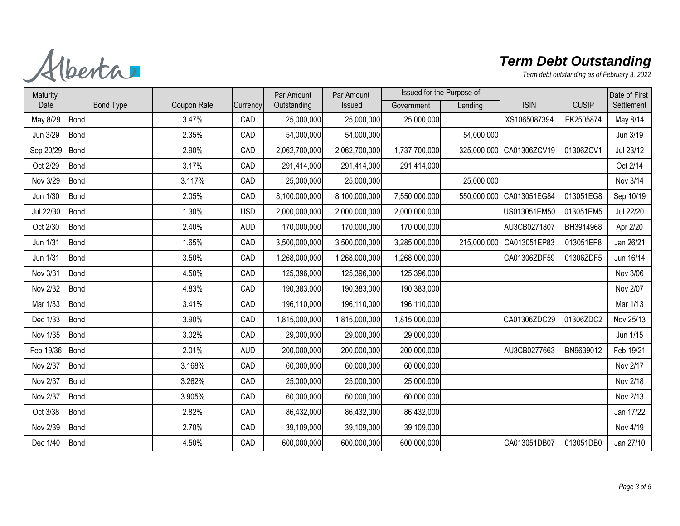Alberta

| Maturity  |                  |             |            | Par Amount    | Par Amount    | Issued for the Purpose of |             |                          |              | Date of First |
|-----------|------------------|-------------|------------|---------------|---------------|---------------------------|-------------|--------------------------|--------------|---------------|
| Date      | <b>Bond Type</b> | Coupon Rate | Currency   | Outstanding   | Issued        | Government                | Lending     | <b>ISIN</b>              | <b>CUSIP</b> | Settlement    |
| May 8/29  | <b>Bond</b>      | 3.47%       | CAD        | 25,000,000    | 25,000,000    | 25,000,000                |             | XS1065087394             | EK2505874    | May 8/14      |
| Jun 3/29  | <b>Bond</b>      | 2.35%       | CAD        | 54,000,000    | 54,000,000    |                           | 54,000,000  |                          |              | Jun 3/19      |
| Sep 20/29 | <b>Bond</b>      | 2.90%       | CAD        | 2,062,700,000 | 2,062,700,000 | 1,737,700,000             | 325,000,000 | CA01306ZCV19             | 01306ZCV1    | Jul 23/12     |
| Oct 2/29  | <b>Bond</b>      | 3.17%       | CAD        | 291,414,000   | 291,414,000   | 291,414,000               |             |                          |              | Oct 2/14      |
| Nov 3/29  | <b>Bond</b>      | 3.117%      | CAD        | 25,000,000    | 25,000,000    |                           | 25,000,000  |                          |              | Nov 3/14      |
| Jun 1/30  | <b>Bond</b>      | 2.05%       | CAD        | 8,100,000,000 | 8,100,000,000 | 7,550,000,000             |             | 550,000,000 CA013051EG84 | 013051EG8    | Sep 10/19     |
| Jul 22/30 | <b>Bond</b>      | 1.30%       | <b>USD</b> | 2,000,000,000 | 2,000,000,000 | 2,000,000,000             |             | US013051EM50             | 013051EM5    | Jul 22/20     |
| Oct 2/30  | <b>Bond</b>      | 2.40%       | <b>AUD</b> | 170,000,000   | 170,000,000   | 170,000,000               |             | AU3CB0271807             | BH3914968    | Apr 2/20      |
| Jun 1/31  | <b>Bond</b>      | 1.65%       | CAD        | 3,500,000,000 | 3,500,000,000 | 3,285,000,000             | 215,000,000 | CA013051EP83             | 013051EP8    | Jan 26/21     |
| Jun 1/31  | <b>Bond</b>      | 3.50%       | CAD        | 1,268,000,000 | 1,268,000,000 | 1,268,000,000             |             | CA01306ZDF59             | 01306ZDF5    | Jun 16/14     |
| Nov 3/31  | <b>Bond</b>      | 4.50%       | CAD        | 125,396,000   | 125,396,000   | 125,396,000               |             |                          |              | Nov 3/06      |
| Nov 2/32  | <b>Bond</b>      | 4.83%       | CAD        | 190,383,000   | 190,383,000   | 190,383,000               |             |                          |              | Nov 2/07      |
| Mar 1/33  | <b>Bond</b>      | 3.41%       | CAD        | 196,110,000   | 196,110,000   | 196,110,000               |             |                          |              | Mar 1/13      |
| Dec 1/33  | <b>Bond</b>      | 3.90%       | CAD        | 1,815,000,000 | 1,815,000,000 | 1,815,000,000             |             | CA01306ZDC29             | 01306ZDC2    | Nov 25/13     |
| Nov 1/35  | <b>Bond</b>      | 3.02%       | CAD        | 29,000,000    | 29,000,000    | 29,000,000                |             |                          |              | Jun 1/15      |
| Feb 19/36 | <b>Bond</b>      | 2.01%       | <b>AUD</b> | 200,000,000   | 200,000,000   | 200,000,000               |             | AU3CB0277663             | BN9639012    | Feb 19/21     |
| Nov 2/37  | <b>Bond</b>      | 3.168%      | CAD        | 60,000,000    | 60,000,000    | 60,000,000                |             |                          |              | Nov 2/17      |
| Nov 2/37  | <b>Bond</b>      | 3.262%      | CAD        | 25,000,000    | 25,000,000    | 25,000,000                |             |                          |              | Nov 2/18      |
| Nov 2/37  | <b>Bond</b>      | 3.905%      | CAD        | 60,000,000    | 60,000,000    | 60,000,000                |             |                          |              | Nov 2/13      |
| Oct 3/38  | <b>Bond</b>      | 2.82%       | CAD        | 86,432,000    | 86,432,000    | 86,432,000                |             |                          |              | Jan 17/22     |
| Nov 2/39  | <b>Bond</b>      | 2.70%       | CAD        | 39,109,000    | 39,109,000    | 39,109,000                |             |                          |              | Nov 4/19      |
| Dec 1/40  | <b>Bond</b>      | 4.50%       | CAD        | 600,000,000   | 600,000,000   | 600,000,000               |             | CA013051DB07             | 013051DB0    | Jan 27/10     |
|           |                  |             |            |               |               |                           |             |                          |              |               |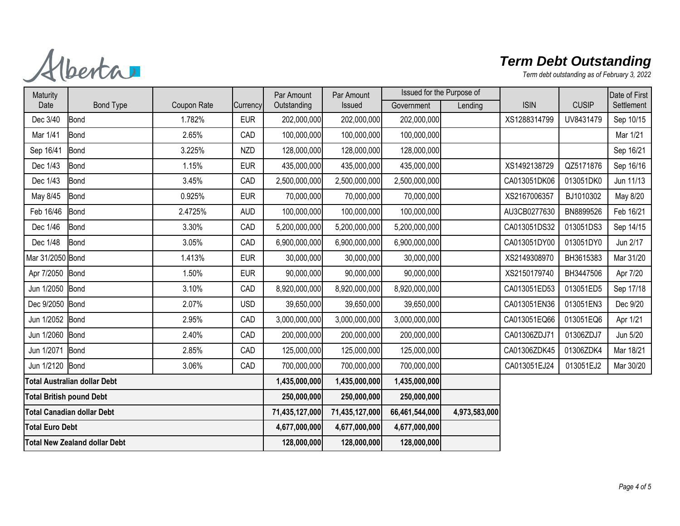Alberta

| Maturity                             |                  |             |                | Par Amount     | Par Amount     | Issued for the Purpose of |         |              |              | Date of First |
|--------------------------------------|------------------|-------------|----------------|----------------|----------------|---------------------------|---------|--------------|--------------|---------------|
| Date                                 | <b>Bond Type</b> | Coupon Rate | Currency       | Outstanding    | Issued         | Government                | Lending | <b>ISIN</b>  | <b>CUSIP</b> | Settlement    |
| Dec 3/40                             | <b>Bond</b>      | 1.782%      | <b>EUR</b>     | 202,000,000    | 202,000,000    | 202,000,000               |         | XS1288314799 | UV8431479    | Sep 10/15     |
| Mar 1/41                             | Bond             | 2.65%       | CAD            | 100,000,000    | 100,000,000    | 100,000,000               |         |              |              | Mar 1/21      |
| Sep 16/41                            | Bond             | 3.225%      | <b>NZD</b>     | 128,000,000    | 128,000,000    | 128,000,000               |         |              |              | Sep 16/21     |
| Dec 1/43                             | Bond             | 1.15%       | <b>EUR</b>     | 435,000,000    | 435,000,000    | 435,000,000               |         | XS1492138729 | QZ5171876    | Sep 16/16     |
| Dec 1/43                             | <b>Bond</b>      | 3.45%       | CAD            | 2,500,000,000  | 2,500,000,000  | 2,500,000,000             |         | CA013051DK06 | 013051DK0    | Jun 11/13     |
| May 8/45                             | <b>Bond</b>      | 0.925%      | <b>EUR</b>     | 70,000,000     | 70,000,000     | 70,000,000                |         | XS2167006357 | BJ1010302    | May 8/20      |
| Feb 16/46                            | <b>Bond</b>      | 2.4725%     | <b>AUD</b>     | 100,000,000    | 100,000,000    | 100,000,000               |         | AU3CB0277630 | BN8899526    | Feb 16/21     |
| Dec 1/46                             | <b>Bond</b>      | 3.30%       | CAD            | 5,200,000,000  | 5,200,000,000  | 5,200,000,000             |         | CA013051DS32 | 013051DS3    | Sep 14/15     |
| Dec 1/48                             | Bond             | 3.05%       | CAD            | 6,900,000,000  | 6,900,000,000  | 6,900,000,000             |         | CA013051DY00 | 013051DY0    | Jun 2/17      |
| Mar 31/2050 Bond                     |                  | 1.413%      | <b>EUR</b>     | 30,000,000     | 30,000,000     | 30,000,000                |         | XS2149308970 | BH3615383    | Mar 31/20     |
| Apr 7/2050 Bond                      |                  | 1.50%       | <b>EUR</b>     | 90,000,000     | 90,000,000     | 90,000,000                |         | XS2150179740 | BH3447506    | Apr 7/20      |
| Jun 1/2050 Bond                      |                  | 3.10%       | CAD            | 8,920,000,000  | 8,920,000,000  | 8,920,000,000             |         | CA013051ED53 | 013051ED5    | Sep 17/18     |
| Dec 9/2050 Bond                      |                  | 2.07%       | <b>USD</b>     | 39,650,000     | 39,650,000     | 39,650,000                |         | CA013051EN36 | 013051EN3    | Dec 9/20      |
| Jun 1/2052                           | Bond             | 2.95%       | CAD            | 3,000,000,000  | 3,000,000,000  | 3,000,000,000             |         | CA013051EQ66 | 013051EQ6    | Apr 1/21      |
| Jun 1/2060                           | Bond             | 2.40%       | CAD            | 200,000,000    | 200,000,000    | 200,000,000               |         | CA01306ZDJ71 | 01306ZDJ7    | Jun 5/20      |
| Jun 1/2071                           | Bond             | 2.85%       | CAD            | 125,000,000    | 125,000,000    | 125,000,000               |         | CA01306ZDK45 | 01306ZDK4    | Mar 18/21     |
| Jun 1/2120 Bond                      |                  | 3.06%       | CAD            | 700,000,000    | 700,000,000    | 700,000,000               |         | CA013051EJ24 | 013051EJ2    | Mar 30/20     |
| Total Australian dollar Debt         |                  |             |                | 1,435,000,000  | 1,435,000,000  | 1,435,000,000             |         |              |              |               |
| <b>Total British pound Debt</b>      |                  |             | 250,000,000    | 250,000,000    | 250,000,000    |                           |         |              |              |               |
| <b>Total Canadian dollar Debt</b>    |                  |             | 71,435,127,000 | 71,435,127,000 | 66,461,544,000 | 4,973,583,000             |         |              |              |               |
| <b>Total Euro Debt</b>               |                  |             |                | 4,677,000,000  | 4,677,000,000  | 4,677,000,000             |         |              |              |               |
| <b>Total New Zealand dollar Debt</b> |                  |             | 128,000,000    | 128,000,000    | 128,000,000    |                           |         |              |              |               |